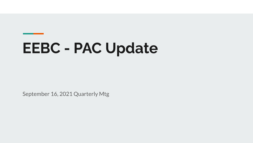# **EEBC - PAC Update**

September 16, 2021 Quarterly Mtg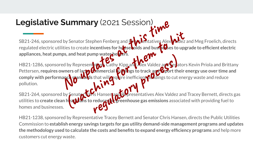# **Legislative Summary** (2021 Session)

SB21-246, sponsored by Senator Stephen Fenberg and Representatives Alex Valdez and Meg Froelich, directs regulated electric utilities to create **incentives for honose wolds and businesses to upgrade to efficient electric** appliances, heat pumps, and heat pump water he**vers**.

HB21-1286, sponsored by Representatives Cathy Kipp and Alex Valdez and Senators Kevin Priola and Brittany Pettersen, **requires owners of large to mmercial buildings to track and <b>for their energy use over time and comply with performance standards** that will require inefficient buildings to cut energy waste and reduce pollution. Summary (2021 Session)<br>
I by Senator Stephen Fenberg and Beloisand business Alex<br>
lities to create incentives for hose colds and businesses<br>
Inps, and heat pump waterhelders.<br>
Led by Represent by Cathy Kipp and Mex Valdez We Senator Stephen Fenberg and Helpelatatives Alex Millez and<br>
It is to create incentives for hosselolds and bushedes to upgrass,<br>
It by Representing water helpes.<br>
It by Representing Cathy Kipp and Micro Valdez and Sepato This Cathy Kipp and Mex Valdez are Selated that will contain this to track are Coport the that will contain the interferient pull dings to cut of the Hansen and Copresentatives Alex Valdez and Coport the selated of the Sel

SB21-264, sponsored by Senator Chris Hansen and Representatives Alex Valdez and Tracey Bernett, directs gas utilities to **create clean heat plans to reduce the greenhouse gas emissions** associated with providing fuel to homes and businesses.

HB21-1238, sponsored by Representative Tracey Bernett and Senator Chris Hansen, directs the Public Utilities Commission to **establish energy savings targets for gas utility demand-side management programs and updates the methodology used to calculate the costs and benefits to expand energy efficiency programs** and help more customers cut energy waste.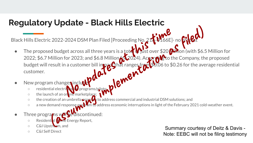## **Regulatory Update - Black Hills Electric**

Black Hills Electric 2022-2024 DSM Plan Filed [Proceeding No.

- $\bullet$  The proposed budget across all three years is a toter  $\bullet$  just over \$20 Million (with \$6.5 Million for 2022; \$6.7 Million for 2023; and \$6.8 Million for 2024). Accordicto the Company, the proposed budget will result in a customer bill impact that ranges from  $\frac{1}{20.06}$  to \$0.26 for the average residential customer. 2-2024 DSM Plan Filed [Proceeding No. 21 1-0166E]-<br>get across all three years is a tote whist over \$20 0<br>if or 2023; and \$6.8 Million 6.2024). Across the totel<br>in a customer bill imperfect ranges from \$0.06 to \$1<br>nges incl ic 2022-2024 DSM Plan Filed [Proceeding No. 2 The Meet-<br>ed budget across all three years is a total Mist over \$20 Men (with \$6.5<br>Million for 2023; and \$6.8 Million (2024). Across 420 Men (with \$6.5<br>Million for 2023; and \$6
- New program changes inclu
	- o residential electrification programs/pilo
	- the launch of an online marketplace
	- the creation of an umbrella program to address commercial and industrial DSM solutions; and
	- a new demand response proth on to address economic interruptions in light of the February 2021 cold-weather event.
- Three programs  $w \wedge w$  se discontinued:
	- Residential Home Energy Report,
	- C&I Upstream, and
	-

○ C&I Self Direct Summary courtesy of Deitz & Davis - Note: EEBC will not be filing testimony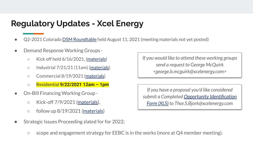### **Regulatory Updates - Xcel Energy**

- Q2-2021 Colorado DSM Roundtable held August 11, 2021 (meeting materials not yet posted)
- Demand Response Working Groups -
	- $\circ$  Kick off held 6/16/2021, (materials)
	- $\circ$  Industrial  $7/21/21$  (11am) (materials)
	- Commercial 8/19/2021 (materials)
	- **Residential 9/22/2021 12am 1pm**
- On-Bill Financing Working Group -
	- $\circ$  Kick-off 7/9/2021 (materials),
	- $\circ$  follow up 8/19/2021 (materials)
- Strategic Issues Proceeding slated for for 2022;
	- $\circ$  scope and engagement strategy for EEBC is in the works (more at Q4 member meeting).

*If you would like to attend these working groups send a request to George McQuirk <george.b.mcguirk@xcelenergy.com>*

*If you have a proposal you'd like considered submit a Completed Opportunity Identification Form (XLS) to Thor.S.Bjork@xcelenergy.com*